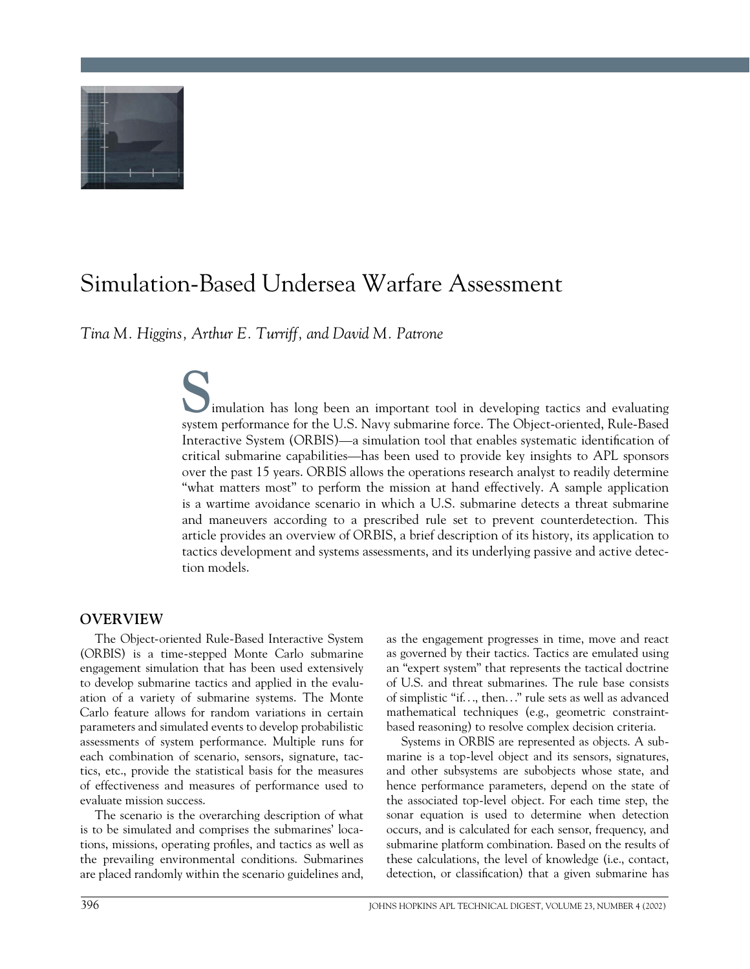

# Simulation-Based Undersea Warfare Assessment

*Tina M. Higgins, Arthur E. Turriff, and David M. Patrone*

Samulation has long been an important tool in developing tactics and evaluating system performance for the U.S. Navy submarine force. The Object-oriented, Rule-Based imulation has long been an important tool in developing tactics and evaluating Interactive System (ORBIS)—a simulation tool that enables systematic identification of critical submarine capabilities—has been used to provide key insights to APL sponsors over the past 15 years. ORBIS allows the operations research analyst to readily determine "what matters most" to perform the mission at hand effectively. A sample application is a wartime avoidance scenario in which a U.S. submarine detects a threat submarine and maneuvers according to a prescribed rule set to prevent counterdetection. This article provides an overview of ORBIS, a brief description of its history, its application to tactics development and systems assessments, and its underlying passive and active detection models.

# **OVERVIEW**

The Object-oriented Rule-Based Interactive System (ORBIS) is a time-stepped Monte Carlo submarine engagement simulation that has been used extensively to develop submarine tactics and applied in the evaluation of a variety of submarine systems. The Monte Carlo feature allows for random variations in certain parameters and simulated events to develop probabilistic assessments of system performance. Multiple runs for each combination of scenario, sensors, signature, tactics, etc., provide the statistical basis for the measures of effectiveness and measures of performance used to evaluate mission success.

The scenario is the overarching description of what is to be simulated and comprises the submarines' locations, missions, operating profiles, and tactics as well as the prevailing environmental conditions. Submarines are placed randomly within the scenario guidelines and,

as the engagement progresses in time, move and react as governed by their tactics. Tactics are emulated using an "expert system" that represents the tactical doctrine of U.S. and threat submarines. The rule base consists of simplistic "if. . ., then. . ." rule sets as well as advanced mathematical techniques (e.g., geometric constraintbased reasoning) to resolve complex decision criteria.

Systems in ORBIS are represented as objects. A submarine is a top-level object and its sensors, signatures, and other subsystems are subobjects whose state, and hence performance parameters, depend on the state of the associated top-level object. For each time step, the sonar equation is used to determine when detection occurs, and is calculated for each sensor, frequency, and submarine platform combination. Based on the results of these calculations, the level of knowledge (i.e., contact, detection, or classification) that a given submarine has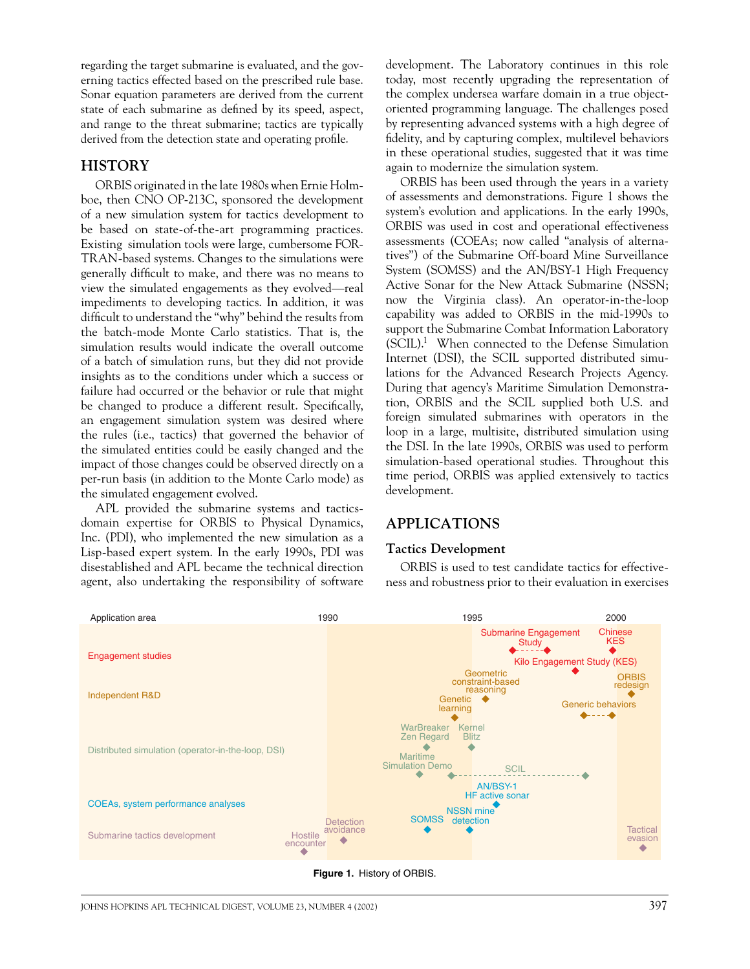regarding the target submarine is evaluated, and the governing tactics effected based on the prescribed rule base. Sonar equation parameters are derived from the current state of each submarine as defined by its speed, aspect, and range to the threat submarine; tactics are typically derived from the detection state and operating profile.

# **HISTORY**

ORBIS originated in the late 1980s when Ernie Holmboe, then CNO OP-213C, sponsored the development of a new simulation system for tactics development to be based on state-of-the-art programming practices. Existing simulation tools were large, cumbersome FOR-TRAN-based systems. Changes to the simulations were generally difficult to make, and there was no means to view the simulated engagements as they evolved—real impediments to developing tactics. In addition, it was difficult to understand the "why" behind the results from the batch-mode Monte Carlo statistics. That is, the simulation results would indicate the overall outcome of a batch of simulation runs, but they did not provide insights as to the conditions under which a success or failure had occurred or the behavior or rule that might be changed to produce a different result. Specifically, an engagement simulation system was desired where the rules (i.e., tactics) that governed the behavior of the simulated entities could be easily changed and the impact of those changes could be observed directly on a per-run basis (in addition to the Monte Carlo mode) as the simulated engagement evolved.

APL provided the submarine systems and tacticsdomain expertise for ORBIS to Physical Dynamics, Inc. (PDI), who implemented the new simulation as a Lisp-based expert system. In the early 1990s, PDI was disestablished and APL became the technical direction agent, also undertaking the responsibility of software development. The Laboratory continues in this role today, most recently upgrading the representation of the complex undersea warfare domain in a true objectoriented programming language. The challenges posed by representing advanced systems with a high degree of fidelity, and by capturing complex, multilevel behaviors in these operational studies, suggested that it was time again to modernize the simulation system.

ORBIS has been used through the years in a variety of assessments and demonstrations. Figure 1 shows the system's evolution and applications. In the early 1990s, ORBIS was used in cost and operational effectiveness assessments (COEAs; now called "analysis of alternatives") of the Submarine Off-board Mine Surveillance System (SOMSS) and the AN/BSY-1 High Frequency Active Sonar for the New Attack Submarine (NSSN; now the Virginia class). An operator-in-the-loop capability was added to ORBIS in the mid-1990s to support the Submarine Combat Information Laboratory (SCIL).1 When connected to the Defense Simulation Internet (DSI), the SCIL supported distributed simulations for the Advanced Research Projects Agency. During that agency's Maritime Simulation Demonstration, ORBIS and the SCIL supplied both U.S. and foreign simulated submarines with operators in the loop in a large, multisite, distributed simulation using the DSI. In the late 1990s, ORBIS was used to perform simulation-based operational studies. Throughout this time period, ORBIS was applied extensively to tactics development.

## **APPLICATIONS**

#### **Tactics Development**

ORBIS is used to test candidate tactics for effectiveness and robustness prior to their evaluation in exercises



**Figure 1.** History of ORBIS.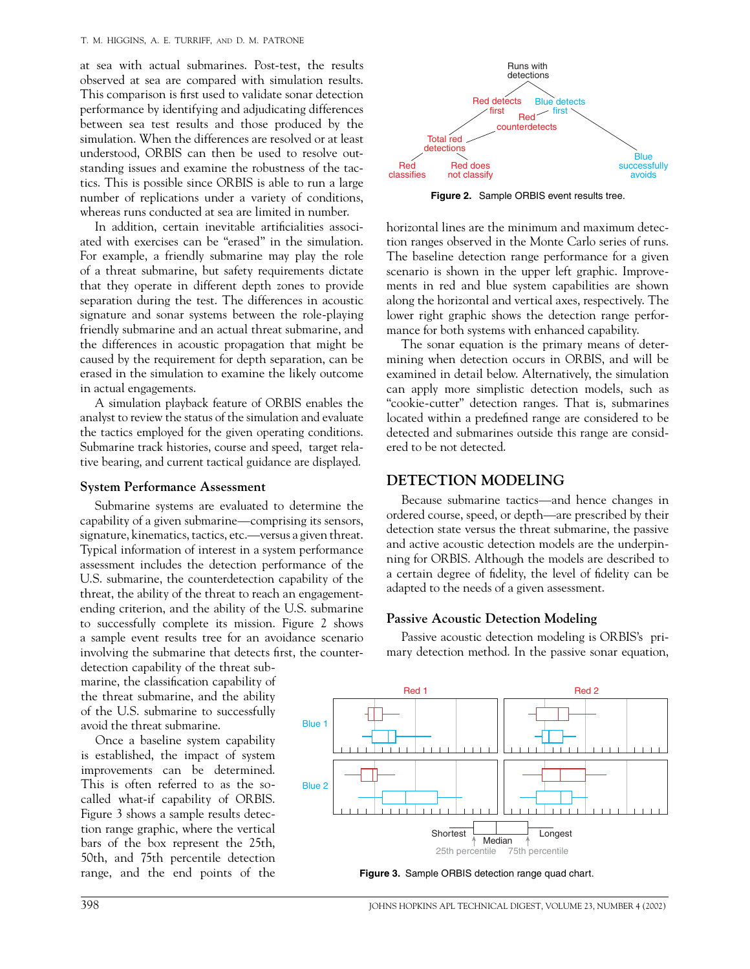at sea with actual submarines. Post-test, the results observed at sea are compared with simulation results. This comparison is first used to validate sonar detection performance by identifying and adjudicating differences between sea test results and those produced by the simulation. When the differences are resolved or at least understood, ORBIS can then be used to resolve outstanding issues and examine the robustness of the tactics. This is possible since ORBIS is able to run a large number of replications under a variety of conditions, whereas runs conducted at sea are limited in number.

In addition, certain inevitable artificialities associated with exercises can be "erased" in the simulation. For example, a friendly submarine may play the role of a threat submarine, but safety requirements dictate that they operate in different depth zones to provide separation during the test. The differences in acoustic signature and sonar systems between the role-playing friendly submarine and an actual threat submarine, and the differences in acoustic propagation that might be caused by the requirement for depth separation, can be erased in the simulation to examine the likely outcome in actual engagements.

A simulation playback feature of ORBIS enables the analyst to review the status of the simulation and evaluate the tactics employed for the given operating conditions. Submarine track histories, course and speed, target relative bearing, and current tactical guidance are displayed.

#### **System Performance Assessment**

Submarine systems are evaluated to determine the capability of a given submarine—comprising its sensors, signature, kinematics, tactics, etc.—versus a given threat. Typical information of interest in a system performance assessment includes the detection performance of the U.S. submarine, the counterdetection capability of the threat, the ability of the threat to reach an engagementending criterion, and the ability of the U.S. submarine to successfully complete its mission. Figure 2 shows a sample event results tree for an avoidance scenario involving the submarine that detects first, the counter-

detection capability of the threat submarine, the classification capability of the threat submarine, and the ability of the U.S. submarine to successfully avoid the threat submarine.

Once a baseline system capability is established, the impact of system improvements can be determined. This is often referred to as the socalled what-if capability of ORBIS. Figure 3 shows a sample results detection range graphic, where the vertical bars of the box represent the 25th, 50th, and 75th percentile detection



**Figure 2.** Sample ORBIS event results tree.

horizontal lines are the minimum and maximum detection ranges observed in the Monte Carlo series of runs. The baseline detection range performance for a given scenario is shown in the upper left graphic. Improvements in red and blue system capabilities are shown along the horizontal and vertical axes, respectively. The lower right graphic shows the detection range performance for both systems with enhanced capability.

The sonar equation is the primary means of determining when detection occurs in ORBIS, and will be examined in detail below. Alternatively, the simulation can apply more simplistic detection models, such as "cookie-cutter" detection ranges. That is, submarines located within a predefined range are considered to be detected and submarines outside this range are considered to be not detected.

# **DETECTION MODELING**

Because submarine tactics—and hence changes in ordered course, speed, or depth—are prescribed by their detection state versus the threat submarine, the passive and active acoustic detection models are the underpinning for ORBIS. Although the models are described to a certain degree of fidelity, the level of fidelity can be adapted to the needs of a given assessment.

#### **Passive Acoustic Detection Modeling**

Passive acoustic detection modeling is ORBIS's primary detection method. In the passive sonar equation,



range, and the end points of the **Figure 3.** Sample ORBIS detection range quad chart.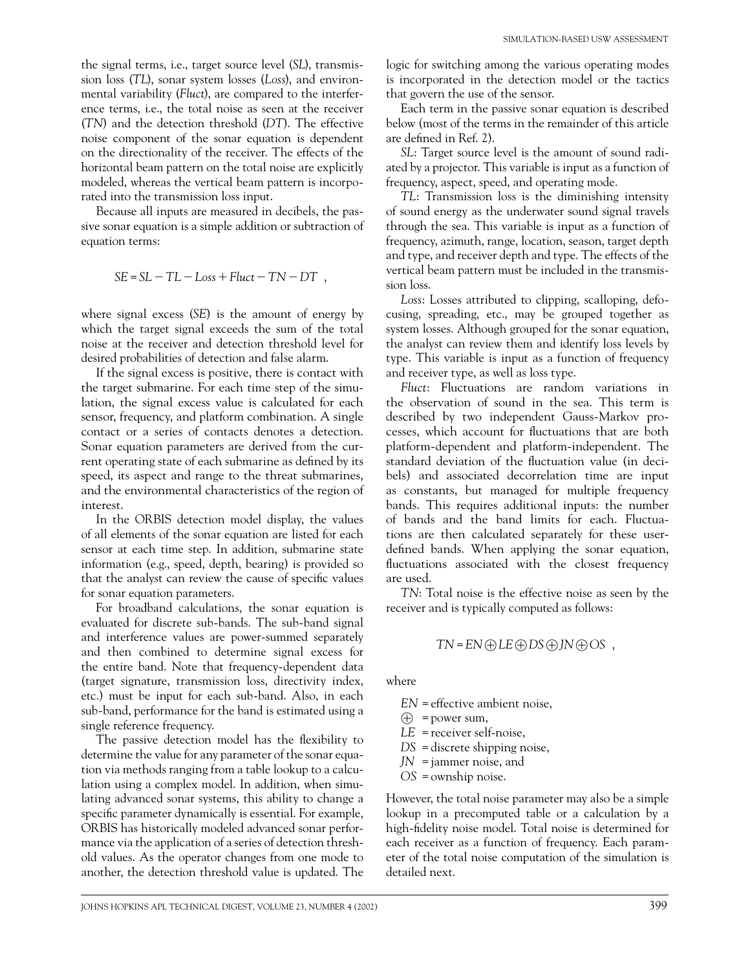the signal terms, i.e., target source level (*SL*), transmission loss (*TL*), sonar system losses (*Loss*), and environmental variability (*Fluct*), are compared to the interference terms, i.e., the total noise as seen at the receiver (*TN*) and the detection threshold (*DT*). The effective noise component of the sonar equation is dependent on the directionality of the receiver. The effects of the horizontal beam pattern on the total noise are explicitly modeled, whereas the vertical beam pattern is incorporated into the transmission loss input.

Because all inputs are measured in decibels, the passive sonar equation is a simple addition or subtraction of equation terms:

$$
SE = SL - TL - Loss + Fluct - TN - DT
$$
,

where signal excess (*SE*) is the amount of energy by which the target signal exceeds the sum of the total noise at the receiver and detection threshold level for desired probabilities of detection and false alarm.

If the signal excess is positive, there is contact with the target submarine. For each time step of the simulation, the signal excess value is calculated for each sensor, frequency, and platform combination. A single contact or a series of contacts denotes a detection. Sonar equation parameters are derived from the current operating state of each submarine as defined by its speed, its aspect and range to the threat submarines, and the environmental characteristics of the region of interest.

In the ORBIS detection model display, the values of all elements of the sonar equation are listed for each sensor at each time step. In addition, submarine state information (e.g., speed, depth, bearing) is provided so that the analyst can review the cause of specific values for sonar equation parameters.

For broadband calculations, the sonar equation is evaluated for discrete sub-bands. The sub-band signal and interference values are power-summed separately and then combined to determine signal excess for the entire band. Note that frequency-dependent data (target signature, transmission loss, directivity index, etc.) must be input for each sub-band. Also, in each sub-band, performance for the band is estimated using a single reference frequency.

The passive detection model has the flexibility to determine the value for any parameter of the sonar equation via methods ranging from a table lookup to a calculation using a complex model. In addition, when simulating advanced sonar systems, this ability to change a specific parameter dynamically is essential. For example, ORBIS has historically modeled advanced sonar performance via the application of a series of detection threshold values. As the operator changes from one mode to another, the detection threshold value is updated. The logic for switching among the various operating modes is incorporated in the detection model or the tactics that govern the use of the sensor.

Each term in the passive sonar equation is described below (most of the terms in the remainder of this article are defined in Ref. 2).

*SL*: Target source level is the amount of sound radiated by a projector. This variable is input as a function of frequency, aspect, speed, and operating mode.

*TL*: Transmission loss is the diminishing intensity of sound energy as the underwater sound signal travels through the sea. This variable is input as a function of frequency, azimuth, range, location, season, target depth and type, and receiver depth and type. The effects of the vertical beam pattern must be included in the transmission loss.

*Loss*: Losses attributed to clipping, scalloping, defocusing, spreading, etc., may be grouped together as system losses. Although grouped for the sonar equation, the analyst can review them and identify loss levels by type. This variable is input as a function of frequency and receiver type, as well as loss type.

*Fluct*: Fluctuations are random variations in the observation of sound in the sea. This term is described by two independent Gauss-Markov processes, which account for fluctuations that are both platform-dependent and platform-independent. The standard deviation of the fluctuation value (in decibels) and associated decorrelation time are input as constants, but managed for multiple frequency bands. This requires additional inputs: the number of bands and the band limits for each. Fluctuations are then calculated separately for these userdefined bands. When applying the sonar equation, fluctuations associated with the closest frequency are used.

*TN*: Total noise is the effective noise as seen by the receiver and is typically computed as follows:

$$
TN = EN \bigoplus LE \bigoplus DS \bigoplus JN \bigoplus OS ,
$$

where

*EN* = effective ambient noise,

- $\textcircled{+}$  = power sum,
- *LE* = receiver self-noise,
- *DS* = discrete shipping noise,
- *JN* = jammer noise, and
- *OS* = ownship noise.

However, the total noise parameter may also be a simple lookup in a precomputed table or a calculation by a high-fidelity noise model. Total noise is determined for each receiver as a function of frequency. Each parameter of the total noise computation of the simulation is detailed next.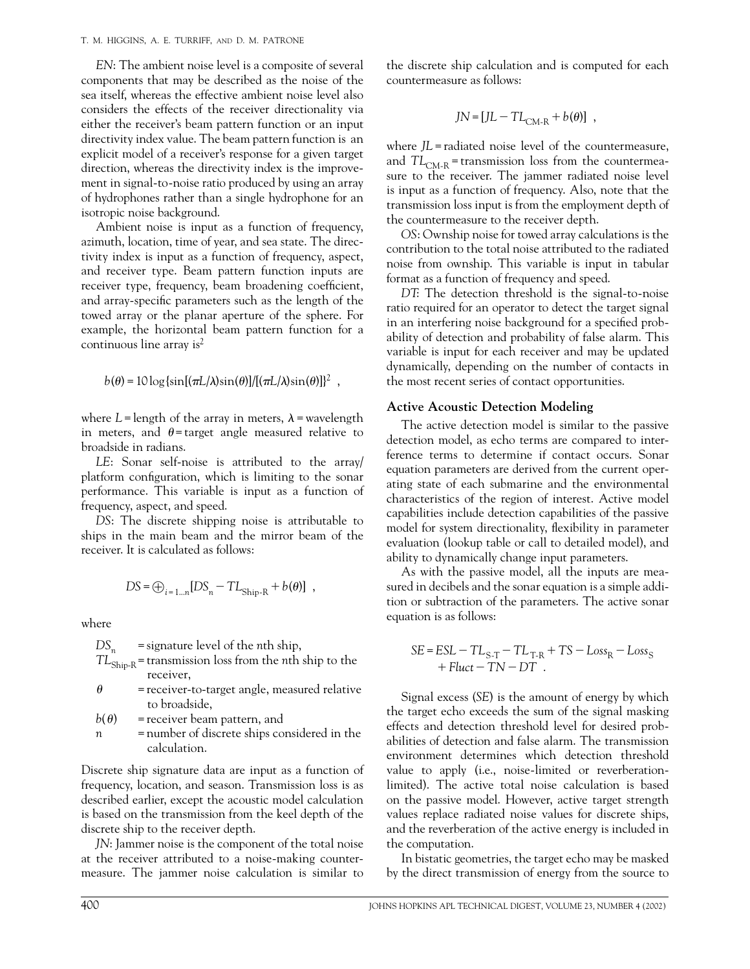*EN*: The ambient noise level is a composite of several components that may be described as the noise of the sea itself, whereas the effective ambient noise level also considers the effects of the receiver directionality via either the receiver's beam pattern function or an input directivity index value. The beam pattern function is an explicit model of a receiver's response for a given target direction, whereas the directivity index is the improvement in signal-to-noise ratio produced by using an array of hydrophones rather than a single hydrophone for an isotropic noise background.

Ambient noise is input as a function of frequency, azimuth, location, time of year, and sea state. The directivity index is input as a function of frequency, aspect, and receiver type. Beam pattern function inputs are receiver type, frequency, beam broadening coefficient, and array-specific parameters such as the length of the towed array or the planar aperture of the sphere. For example, the horizontal beam pattern function for a continuous line array is $2$ 

$$
b(\theta) = 10 \log \{\sin[(\pi L/\lambda)\sin(\theta)]/[(\pi L/\lambda)\sin(\theta)]\}^2,
$$

where  $L$ = length of the array in meters,  $\lambda$  = wavelength in meters, and  $\theta$ = target angle measured relative to broadside in radians.

*LE*: Sonar self-noise is attributed to the array/ platform configuration, which is limiting to the sonar performance. This variable is input as a function of frequency, aspect, and speed.

*DS*: The discrete shipping noise is attributable to ships in the main beam and the mirror beam of the receiver. It is calculated as follows:

$$
DS = \bigoplus_{i=1\ldots n} [DS_n - TL_{Ship-R} + b(\theta)],
$$

where

*DSn* = signature level of the *n*th ship,

- *TL*Ship-R= transmission loss from the *n*th ship to the receiver,
- $\theta$  = receiver-to-target angle, measured relative to broadside,

 $b(\theta)$  = receiver beam pattern, and

*n* = number of discrete ships considered in the calculation.

Discrete ship signature data are input as a function of frequency, location, and season. Transmission loss is as described earlier, except the acoustic model calculation is based on the transmission from the keel depth of the discrete ship to the receiver depth.

*JN*: Jammer noise is the component of the total noise at the receiver attributed to a noise-making countermeasure. The jammer noise calculation is similar to the discrete ship calculation and is computed for each countermeasure as follows:

$$
JN = [JL - TL_{CM-R} + b(\theta)],
$$

where *JL* = radiated noise level of the countermeasure, and  $TL<sub>CM-R</sub>$  = transmission loss from the countermeasure to the receiver. The jammer radiated noise level is input as a function of frequency. Also, note that the transmission loss input is from the employment depth of the countermeasure to the receiver depth.

*OS*: Ownship noise for towed array calculations is the contribution to the total noise attributed to the radiated noise from ownship. This variable is input in tabular format as a function of frequency and speed.

*DT*: The detection threshold is the signal-to-noise ratio required for an operator to detect the target signal in an interfering noise background for a specified probability of detection and probability of false alarm. This variable is input for each receiver and may be updated dynamically, depending on the number of contacts in the most recent series of contact opportunities.

#### **Active Acoustic Detection Modeling**

The active detection model is similar to the passive detection model, as echo terms are compared to interference terms to determine if contact occurs. Sonar equation parameters are derived from the current operating state of each submarine and the environmental characteristics of the region of interest. Active model capabilities include detection capabilities of the passive model for system directionality, flexibility in parameter evaluation (lookup table or call to detailed model), and ability to dynamically change input parameters.

As with the passive model, all the inputs are measured in decibels and the sonar equation is a simple addition or subtraction of the parameters. The active sonar equation is as follows:

$$
SE = ESL - TL_{S-T} - TL_{T-R} + TS - Loss_R - Loss_S
$$
  
+ Fluct - TN - DT.

Signal excess (*SE*) is the amount of energy by which the target echo exceeds the sum of the signal masking effects and detection threshold level for desired probabilities of detection and false alarm. The transmission environment determines which detection threshold value to apply (i.e., noise-limited or reverberationlimited). The active total noise calculation is based on the passive model. However, active target strength values replace radiated noise values for discrete ships, and the reverberation of the active energy is included in the computation.

In bistatic geometries, the target echo may be masked by the direct transmission of energy from the source to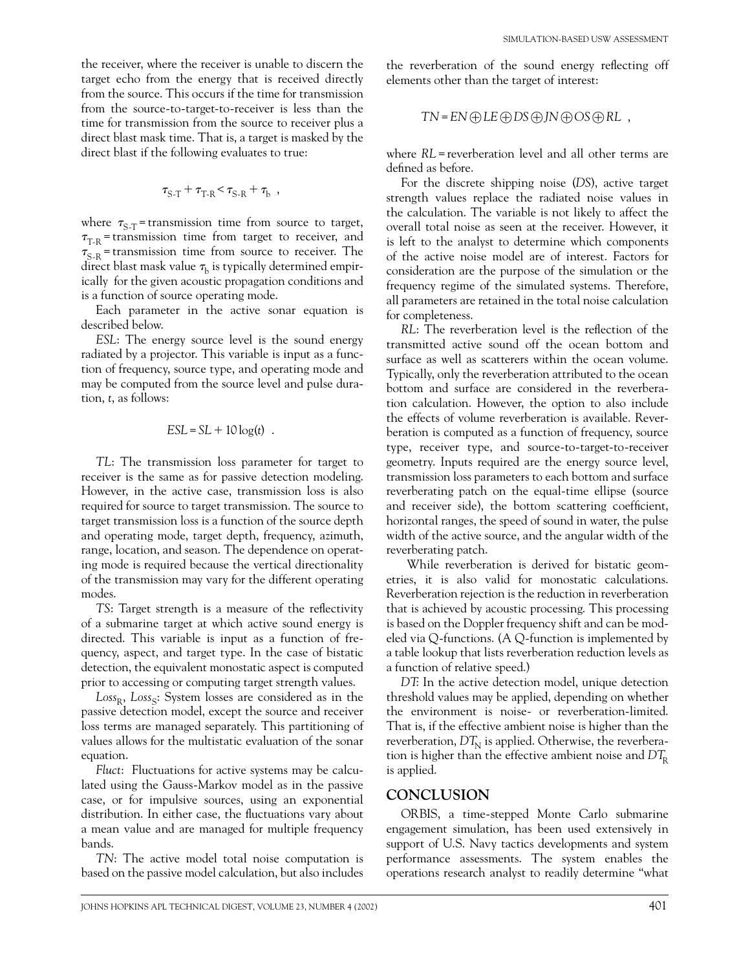the receiver, where the receiver is unable to discern the target echo from the energy that is received directly from the source. This occurs if the time for transmission from the source-to-target-to-receiver is less than the time for transmission from the source to receiver plus a direct blast mask time. That is, a target is masked by the direct blast if the following evaluates to true:

$$
\tau_{\textrm{S-T}} + \tau_{\textrm{T-R}} \! < \! \tau_{\textrm{S-R}} + \tau_{\textrm{b}} \;\; , \label{eq:2.1}
$$

where  $\tau_{S-T}$  = transmission time from source to target,  $\tau_{T-R}$  = transmission time from target to receiver, and  $\tau_{S-R}$  = transmission time from source to receiver. The direct blast mask value  $\tau_{\rm h}$  is typically determined empirically for the given acoustic propagation conditions and is a function of source operating mode.

Each parameter in the active sonar equation is described below.

*ESL*: The energy source level is the sound energy radiated by a projector. This variable is input as a function of frequency, source type, and operating mode and may be computed from the source level and pulse duration, *t*, as follows:

$$
ESL = SL + 10 \log(t) .
$$

*TL*: The transmission loss parameter for target to receiver is the same as for passive detection modeling. However, in the active case, transmission loss is also required for source to target transmission. The source to target transmission loss is a function of the source depth and operating mode, target depth, frequency, azimuth, range, location, and season. The dependence on operating mode is required because the vertical directionality of the transmission may vary for the different operating modes.

*TS*: Target strength is a measure of the reflectivity of a submarine target at which active sound energy is directed. This variable is input as a function of frequency, aspect, and target type. In the case of bistatic detection, the equivalent monostatic aspect is computed prior to accessing or computing target strength values.

 $Loss<sub>R</sub>$ ,  $Loss<sub>S</sub>$ : System losses are considered as in the passive detection model, except the source and receiver loss terms are managed separately. This partitioning of values allows for the multistatic evaluation of the sonar equation.

*Fluct*: Fluctuations for active systems may be calculated using the Gauss-Markov model as in the passive case, or for impulsive sources, using an exponential distribution. In either case, the fluctuations vary about a mean value and are managed for multiple frequency bands.

*TN*: The active model total noise computation is based on the passive model calculation, but also includes the reverberation of the sound energy reflecting off elements other than the target of interest:

$$
TN = EN \bigoplus LE \bigoplus DS \bigoplus JN \bigoplus CS \bigoplus RL ,
$$

where  $RL$  = reverberation level and all other terms are defined as before.

For the discrete shipping noise (*DS*), active target strength values replace the radiated noise values in the calculation. The variable is not likely to affect the overall total noise as seen at the receiver. However, it is left to the analyst to determine which components of the active noise model are of interest. Factors for consideration are the purpose of the simulation or the frequency regime of the simulated systems. Therefore, all parameters are retained in the total noise calculation for completeness.

*RL*: The reverberation level is the reflection of the transmitted active sound off the ocean bottom and surface as well as scatterers within the ocean volume. Typically, only the reverberation attributed to the ocean bottom and surface are considered in the reverberation calculation. However, the option to also include the effects of volume reverberation is available. Reverberation is computed as a function of frequency, source type, receiver type, and source-to-target-to-receiver geometry. Inputs required are the energy source level, transmission loss parameters to each bottom and surface reverberating patch on the equal-time ellipse (source and receiver side), the bottom scattering coefficient, horizontal ranges, the speed of sound in water, the pulse width of the active source, and the angular width of the reverberating patch.

While reverberation is derived for bistatic geometries, it is also valid for monostatic calculations. Reverberation rejection is the reduction in reverberation that is achieved by acoustic processing. This processing is based on the Doppler frequency shift and can be modeled via Q-functions. (A Q-function is implemented by a table lookup that lists reverberation reduction levels as a function of relative speed.)

*DT*: In the active detection model, unique detection threshold values may be applied, depending on whether the environment is noise- or reverberation-limited. That is, if the effective ambient noise is higher than the reverberation,  $DT_{\text{N}}$  is applied. Otherwise, the reverberation is higher than the effective ambient noise and  $DT_{\rm R}$ is applied.

## **CONCLUSION**

ORBIS, a time-stepped Monte Carlo submarine engagement simulation, has been used extensively in support of U.S. Navy tactics developments and system performance assessments. The system enables the operations research analyst to readily determine "what